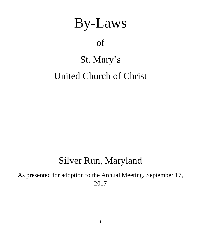# By-Laws

# of

### St. Mary's

## United Church of Christ

### Silver Run, Maryland

As presented for adoption to the Annual Meeting, September 17, 2017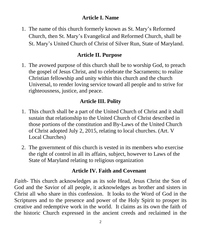#### **Article I. Name**

1. The name of this church formerly known as St. Mary's Reformed Church, then St. Mary's Evangelical and Reformed Church, shall be St. Mary's United Church of Christ of Silver Run, State of Maryland.

#### **Article II. Purpose**

1. The avowed purpose of this church shall be to worship God, to preach the gospel of Jesus Christ, and to celebrate the Sacraments; to realize Christian fellowship and unity within this church and the church Universal, to render loving service toward all people and to strive for righteousness, justice, and peace.

#### **Article III. Polity**

- 1. This church shall be a part of the United Church of Christ and it shall sustain that relationship to the United Church of Christ described in those portions of the constitution and By-Laws of the United Church of Christ adopted July 2, 2015, relating to local churches. (Art. V Local Churches)
- 2. The government of this church is vested in its members who exercise the right of control in all its affairs, subject, however to Laws of the State of Maryland relating to religious organization

#### **Article IV. Faith and Covenant**

*Faith*- This church acknowledges as its sole Head, Jesus Christ the Son of God and the Savior of all people, it acknowledges as brother and sisters in Christ all who share in this confession. It looks to the Word of God in the Scriptures and to the presence and power of the Holy Spirit to prosper its creative and redemptive work in the world. It claims as its own the faith of the historic Church expressed in the ancient creeds and reclaimed in the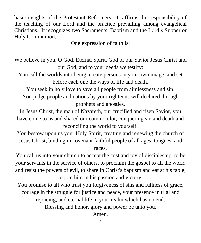basic insights of the Protestant Reformers. It affirms the responsibility of the teaching of our Lord and the practice prevailing among evangelical Christians. It recognizes two Sacraments; Baptism and the Lord's Supper or Holy Communion.

One expression of faith is:

We believe in you, O God, Eternal Spirit, God of our Savior Jesus Christ and our God, and to your deeds we testify:

You call the worlds into being, create persons in your own image, and set before each one the ways of life and death.

You seek in holy love to save all people from aimlessness and sin.

You judge people and nations by your righteous will declared through prophets and apostles.

In Jesus Christ, the man of Nazareth, our crucified and risen Savior, you have come to us and shared our common lot, conquering sin and death and reconciling the world to yourself.

You bestow upon us your Holy Spirit, creating and renewing the church of Jesus Christ, binding in covenant faithful people of all ages, tongues, and races.

You call us into your church to accept the cost and joy of discipleship, to be your servants in the service of others, to proclaim the gospel to all the world and resist the powers of evil, to share in Christ's baptism and eat at his table, to join him in his passion and victory.

You promise to all who trust you forgiveness of sins and fullness of grace, courage in the struggle for justice and peace, your presence in trial and rejoicing, and eternal life in your realm which has no end.

Blessing and honor, glory and power be unto you.

Amen.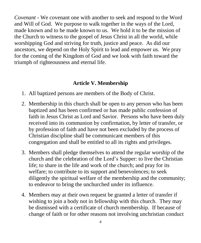*Covenant* - We covenant one with another to seek and respond to the Word and Will of God. We purpose to walk together in the ways of the Lord, made known and to be made known to us. We hold it to be the mission of the Church to witness to the gospel of Jesus Christ in all the world, while worshipping God and striving for truth, justice and peace. As did our ancestors, we depend on the Holy Spirit to lead and empower us. We pray for the coming of the Kingdom of God and we look with faith toward the triumph of righteousness and eternal life.

#### **Article V. Membership**

- 1. All baptized persons are members of the Body of Christ.
- 2. Membership in this church shall be open to any person who has been baptized and has been confirmed or has made public confession of faith in Jesus Christ as Lord and Savior. Persons who have been duly received into its communion by confirmation, by letter of transfer, or by profession of faith and have not been excluded by the process of Christian discipline shall be communicant members of this congregation and shall be entitled to all its rights and privileges.
- 3. Members shall pledge themselves to attend the regular worship of the church and the celebration of the Lord's Supper: to live the Christian life; to share in the life and work of the church; and pray for its welfare; to contribute to its support and benevolences; to seek diligently the spiritual welfare of the membership and the community; to endeavor to bring the unchurched under its influence.
- 4. Members may at their own request be granted a letter of transfer if wishing to join a body not in fellowship with this church. They may be dismissed with a certificate of church membership. If because of change of faith or for other reasons not involving unchristian conduct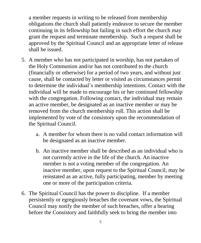a member requests in writing to be released from membership obligations the church shall patiently endeavor to secure the member continuing in its fellowship but failing in such effort the church may grant the request and terminate membership. Such a request shall be approved by the Spiritual Council and an appropriate letter of release shall be issued.

- 5. A member who has not participated in worship, has not partaken of the Holy Communion and/or has not contributed to the church (financially or otherwise) for a period of two years, and without just cause, shall be contacted by letter or visited as circumstances permit to determine the individual's membership intentions. Contact with the individual will be made to encourage his or her continued fellowship with the congregation. Following contact, the individual may remain an active member, be designated as an inactive member or may be removed from the church membership roll. This action shall be implemented by vote of the consistory upon the recommendation of the Spiritual Council.
	- a. A member for whom there is no valid contact information will be designated as an inactive member.
	- b. An inactive member shall be described as an individual who is not currently active in the life of the church. An inactive member is not a voting member of the congregation. An inactive member, upon request to the Spiritual Council, may be reinstated as an active, fully participating, member by meeting one or more of the participation criteria.
- 6. The Spiritual Council has the power to discipline. If a member persistently or egregiously breaches the covenant vows, the Spiritual Council may notify the member of such breaches, offer a hearing before the Consistory and faithfully seek to bring the member into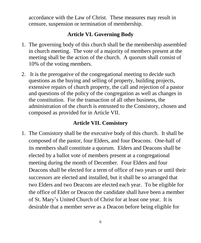accordance with the Law of Christ. These measures may result in censure, suspension or termination of membership.

#### **Article VI. Governing Body**

- 1. The governing body of this church shall be the membership assembled in church meeting. The vote of a majority of members present at the meeting shall be the action of the church. A quorum shall consist of 10% of the voting members.
- 2. It is the prerogative of the congregational meeting to decide such questions as the buying and selling of property, building projects, extensive repairs of church property, the call and rejection of a pastor and questions of the policy of the congregation as well as changes in the constitution. For the transaction of all other business, the administration of the church is entrusted to the Consistory, chosen and composed as provided for in Article VII.

#### **Article VII. Consistory**

1. The Consistory shall be the executive body of this church. It shall be composed of the pastor, four Elders, and four Deacons. One-half of its members shall constitute a quorum. Elders and Deacons shall be elected by a ballot vote of members present at a congregational meeting during the month of December. Four Elders and four Deacons shall be elected for a term of office of two years or until their successors are elected and installed, but it shall be so arranged that two Elders and two Deacons are elected each year. To be eligible for the office of Elder or Deacon the candidate shall have been a member of St. Mary's United Church of Christ for at least one year. It is desirable that a member serve as a Deacon before being eligible for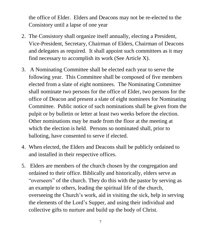the office of Elder. Elders and Deacons may not be re-elected to the Consistory until a lapse of one year

- 2. The Consistory shall organize itself annually, electing a President, Vice-President, Secretary, Chairman of Elders, Chairman of Deacons and delegates as required. It shall appoint such committees as it may find necessary to accomplish its work (See Article X).
- 3. A Nominating Committee shall be elected each year to serve the following year. This Committee shall be composed of five members elected from a slate of eight nominees. The Nominating Committee shall nominate two persons for the office of Elder, two persons for the office of Deacon and present a slate of eight nominees for Nominating Committee. Public notice of such nominations shall be given from the pulpit or by bulletin or letter at least two weeks before the election. Other nominations may be made from the floor at the meeting at which the election is held. Persons so nominated shall, prior to balloting, have consented to serve if elected.
- 4. When elected, the Elders and Deacons shall be publicly ordained to and installed in their respective offices.
- 5. Elders are members of the church chosen by the congregation and ordained to their office. Biblically and historically, elders serve as "overseers" of the church. They do this with the pastor by serving as an example to others, leading the spiritual life of the church, overseeing the Church's work, aid in visiting the sick, help in serving the elements of the Lord's Supper, and using their individual and collective gifts to nurture and build up the body of Christ.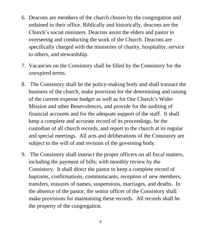- 6. Deacons are members of the church chosen by the congregation and ordained to their office. Biblically and historically, deacons are the Church's social ministers. Deacons assist the elders and pastor in overseeing and conducting the work of the Church. Deacons are specifically charged with the ministries of charity, hospitality, service to others, and stewardship.
- 7. Vacancies on the Consistory shall be filled by the Consistory for the unexpired terms.
- 8. The Consistory shall be the policy-making body and shall transact the business of the church, make provision for the determining and raising of the current expense budget as well as for Our Church's Wider Mission and other Benevolences, and provide for the auditing of financial accounts and for the adequate support of the staff. It shall keep a complete and accurate record of its proceedings, be the custodian of all church records, and report to the church at its regular and special meetings. All acts and deliberations of the Consistory are subject to the will of and revision of the governing body.
- 9. The Consistory shall instruct the proper officers on all fiscal matters, including the payment of bills; with monthly review by the Consistory. It shall direct the pastor to keep a complete record of baptisms, confirmations, communicants, reception of new members, transfers, erasures of names, suspensions, marriages, and deaths. In the absence of the pastor, the senior officer of the Consistory shall make provisions for maintaining these records. All records shall be the property of the congregation.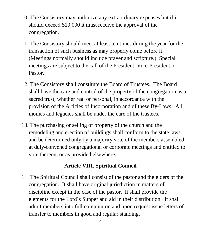- 10. The Consistory may authorize any extraordinary expenses but if it should exceed \$10,000 it must receive the approval of the congregation.
- 11. The Consistory should meet at least ten times during the year for the transaction of such business as may properly come before it. (Meetings normally should include prayer and scripture.) Special meetings are subject to the call of the President, Vice-President or Pastor.
- 12. The Consistory shall constitute the Board of Trustees. The Board shall have the care and control of the property of the congregation as a sacred trust, whether real or personal, in accordance with the provision of the Articles of Incorporation and of these By-Laws. All monies and legacies shall be under the care of the trustees.
- 13. The purchasing or selling of property of the church and the remodeling and erection of buildings shall conform to the state laws and be determined only by a majority vote of the members assembled at duly-convened congregational or corporate meetings and entitled to vote thereon, or as provided elsewhere.

#### **Article VIII. Spiritual Council**

1. The Spiritual Council shall consist of the pastor and the elders of the congregation. It shall have original jurisdiction in matters of discipline except in the case of the pastor. It shall provide the elements for the Lord's Supper and aid in their distribution. It shall admit members into full communion and upon request issue letters of transfer to members in good and regular standing.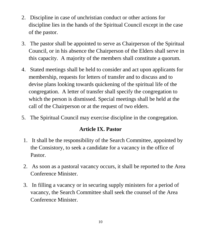- 2. Discipline in case of unchristian conduct or other actions for discipline lies in the hands of the Spiritual Council except in the case of the pastor.
- 3. The pastor shall be appointed to serve as Chairperson of the Spiritual Council, or in his absence the Chairperson of the Elders shall serve in this capacity. A majority of the members shall constitute a quorum.
- 4. Stated meetings shall be held to consider and act upon applicants for membership, requests for letters of transfer and to discuss and to devise plans looking towards quickening of the spiritual life of the congregation. A letter of transfer shall specify the congregation to which the person is dismissed. Special meetings shall be held at the call of the Chairperson or at the request of two elders.
- 5. The Spiritual Council may exercise discipline in the congregation.

#### **Article IX. Pastor**

- 1. It shall be the responsibility of the Search Committee, appointed by the Consistory, to seek a candidate for a vacancy in the office of Pastor.
- 2. As soon as a pastoral vacancy occurs, it shall be reported to the Area Conference Minister.
- 3. In filling a vacancy or in securing supply ministers for a period of vacancy, the Search Committee shall seek the counsel of the Area Conference Minister.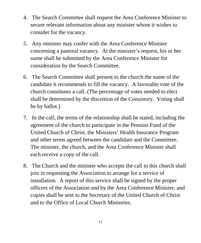- 4. The Search Committee shall request the Area Conference Minister to secure relevant information about any minister whom it wishes to consider for the vacancy.
- 5. Any minister may confer with the Area Conference Minister concerning a pastoral vacancy. At the minister's request, his or her name shall be submitted by the Area Conference Minister for consideration by the Search Committee.
- 6. The Search Committee shall present to the church the name of the candidate it recommends to fill the vacancy. A favorable vote of the church constitutes a call. (The percentage of votes needed to elect shall be determined by the discretion of the Consistory. Voting shall be by ballot.)
- 7. In the call, the terms of the relationship shall be stated, including the agreement of the church to participate in the Pension Fund of the United Church of Christ, the Ministers' Health Insurance Program and other terms agreed between the candidate and the Committee. The minister, the church, and the Area Conference Minister shall each receive a copy of the call.
- 8. The Church and the minister who accepts the call to this church shall join in requesting the Association to arrange for a service of installation. A report of this service shall be signed by the proper officers of the Association and by the Area Conference Minister, and copies shall be sent to the Secretary of the United Church of Christ and to the Office of Local Church Ministries.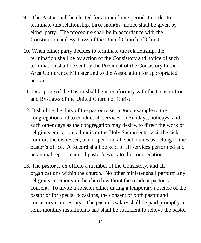- 9. The Pastor shall be elected for an indefinite period. In order to terminate this relationship, three months' notice shall be given by either party. The procedure shall be in accordance with the Constitution and By-Laws of the United Church of Christ.
- 10. When either party decides to terminate the relationship, the termination shall be by action of the Consistory and notice of such termination shall be sent by the President of the Consistory to the Area Conference Minister and to the Association for appropriated action.
- 11. Discipline of the Pastor shall be in conformity with the Constitution and By-Laws of the United Church of Christ.
- 12. It shall be the duty of the pastor to set a good example to the congregation and to conduct all services on Sundays, holidays, and such other days as the congregation may desire, to direct the work of religious education, administer the Holy Sacraments, visit the sick, comfort the distressed, and to perform all such duties as belong to the pastor's office. A Record shall be kept of all services performed and an annual report made of pastor's work to the congregation.
- 13. The pastor is ex officio a member of the Consistory, and all organizations within the church. No other minister shall perform any religious ceremony in the church without the resident pastor's consent. To invite a speaker either during a temporary absence of the pastor or for special occasions, the consent of both pastor and consistory is necessary. The pastor's salary shall be paid promptly in semi-monthly installments and shall be sufficient to relieve the pastor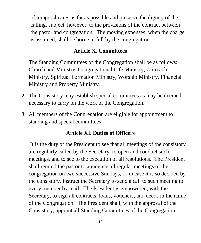of temporal cares as far as possible and preserve the dignity of the calling, subject, however, to the provisions of the contract between the pastor and congregation. The moving expenses, when the charge is assumed, shall be borne in full by the congregation.

#### **Article X. Committees**

- 1. The Standing Committees of the Congregation shall be as follows: Church and Ministry, Congregational Life Ministry, Outreach Ministry, Spiritual Formation Ministry, Worship Ministry, Financial Ministry and Property Ministry.
- 2. The Consistory may establish special committees as may be deemed necessary to carry on the work of the Congregation.
- 3. All members of the Congregation are eligible for appointment to standing and special committees.

#### **Article XI. Duties of Officers**

1. It is the duty of the President to see that all meetings of the consistory are regularly called by the Secretary, to open and conduct such meetings, and to see to the execution of all resolutions. The President shall remind the pastor to announce all regular meetings of the congregation on two successive Sundays, or in case it is so decided by the consistory, instruct the Secretary to send a call to such meeting to every member by mail. The President is empowered, with the Secretary, to sign all contracts, loans, vouchers, and deeds in the name of the Congregation. The President shall, with the approval of the Consistory, appoint all Standing Committees of the Congregation.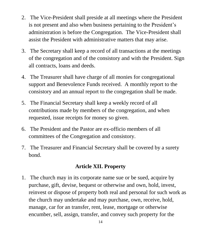- 2. The Vice-President shall preside at all meetings where the President is not present and also when business pertaining to the President's administration is before the Congregation. The Vice-President shall assist the President with administrative matters that may arise.
- 3. The Secretary shall keep a record of all transactions at the meetings of the congregation and of the consistory and with the President. Sign all contracts, loans and deeds.
- 4. The Treasurer shall have charge of all monies for congregational support and Benevolence Funds received. A monthly report to the consistory and an annual report to the congregation shall be made.
- 5. The Financial Secretary shall keep a weekly record of all contributions made by members of the congregation, and when requested, issue receipts for money so given.
- 6. The President and the Pastor are ex-officio members of all committees of the Congregation and consistory.
- 7. The Treasurer and Financial Secretary shall be covered by a surety bond.

#### **Article XII. Property**

1. The church may in its corporate name sue or be sued, acquire by purchase, gift, devise, bequest or otherwise and own, hold, invest, reinvest or dispose of property both real and personal for such work as the church may undertake and may purchase, own, receive, hold, manage, car for an transfer, rent, lease, mortgage or otherwise encumber, sell, assign, transfer, and convey such property for the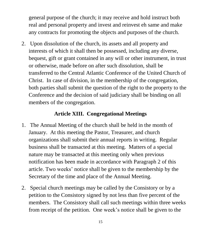general purpose of the church; it may receive and hold instruct both real and personal property and invest and reinvest eh same and make any contracts for promoting the objects and purposes of the church.

2. Upon dissolution of the church, its assets and all property and interests of which it shall then be possessed, including any diverse, bequest, gift or grant contained in any will or other instrument, in trust or otherwise, made before on after such dissolution, shall be transferred to the Central Atlantic Conference of the United Church of Christ. In case of division, in the membership of the congregation, both parties shall submit the question of the right to the property to the Conference and the decision of said judiciary shall be binding on all members of the congregation.

#### **Article XIII. Congregational Meetings**

- 1. The Annual Meeting of the church shall be held in the month of January. At this meeting the Pastor, Treasurer, and church organizations shall submit their annual reports in writing. Regular business shall be transacted at this meeting. Matters of a special nature may be transacted at this meeting only when previous notification has been made in accordance with Paragraph 2 of this article. Two weeks' notice shall be given to the membership by the Secretary of the time and place of the Annual Meeting.
- 2. Special church meetings may be called by the Consistory or by a petition to the Consistory signed by not less than five percent of the members. The Consistory shall call such meetings within three weeks from receipt of the petition. One week's notice shall be given to the